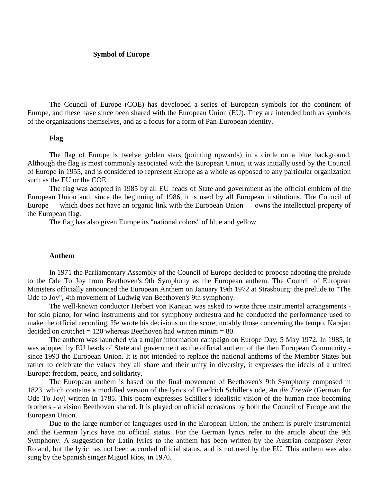## **Symbol of Europe**

The Council of Europe (COE) has developed a series of European symbols for the continent of Europe, and these have since been shared with the European Union (EU). They are intended both as symbols of the organizations themselves, and as a focus for a form of Pan-European identity.

## **Flag**

The flag of Europe is twelve golden stars (pointing upwards) in a circle on a blue background. Although the flag is most commonly associated with the European Union, it was initially used by the Council of Europe in 1955, and is considered to represent Europe as a whole as opposed to any particular organization such as the EU or the COE.

The flag was adopted in 1985 by all EU heads of State and government as the official emblem of the European Union and, since the beginning of 1986, it is used by all European institutions. The Council of Europe — which does not have an organic link with the European Union — owns the intellectual property of the European flag.

The flag has also given Europe its "national colors" of blue and yellow.

## **Anthem**

In 1971 the Parliamentary Assembly of the Council of Europe decided to propose adopting the prelude to the Ode To Joy from Beethoven's 9th Symphony as the European anthem. The Council of European Ministers officially announced the European Anthem on January 19th 1972 at Strasbourg: the prelude to "The Ode to Joy", 4th movement of Ludwig van Beethoven's 9th symphony.

The well-known conductor Herbert von Karajan was asked to write three instrumental arrangements for solo piano, for wind instruments and for symphony orchestra and he conducted the performance used to make the official recording. He wrote his decisions on the score, notably those concerning the tempo. Karajan decided on crotchet  $= 120$  whereas Beethoven had written minim  $= 80$ .

The anthem was launched via a major information campaign on Europe Day, 5 May 1972. In 1985, it was adopted by EU heads of State and government as the official anthem of the then European Community since 1993 the European Union. It is not intended to replace the national anthems of the Member States but rather to celebrate the values they all share and their unity in diversity, it expresses the ideals of a united Europe: freedom, peace, and solidarity.

The European anthem is based on the final movement of Beethoven's 9th Symphony composed in 1823, which contains a modified version of the lyrics of Friedrich Schiller's ode, *An die Freude* (German for Ode To Joy) written in 1785. This poem expresses Schiller's idealistic vision of the human race becoming brothers - a vision Beethoven shared. It is played on official occasions by both the Council of Europe and the European Union.

Due to the large number of languages used in the European Union, the anthem is purely instrumental and the German lyrics have no official status. For the German lyrics refer to the article about the 9th Symphony. A suggestion for Latin lyrics to the anthem has been written by the Austrian composer Peter Roland, but the lyric has not been accorded official status, and is not used by the EU. This anthem was also sung by the Spanish singer Miguel Ríos, in 1970.